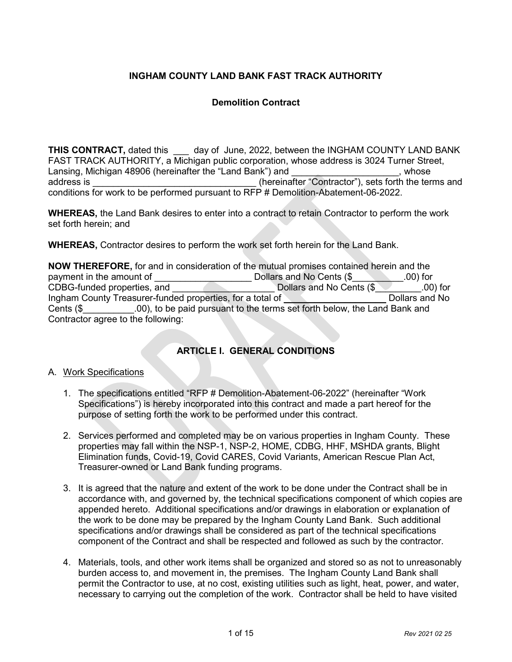# **INGHAM COUNTY LAND BANK FAST TRACK AUTHORITY**

# **Demolition Contract**

**THIS CONTRACT,** dated this and ay of June, 2022, between the INGHAM COUNTY LAND BANK FAST TRACK AUTHORITY, a Michigan public corporation, whose address is 3024 Turner Street, Lansing, Michigan 48906 (hereinafter the "Land Bank") and **Example 2** and the state of the state of the state of the state of the state of the state of the state of the state of the state of the state of the state of the s address is  $\overline{\phantom{a}}$  address is  $\overline{\phantom{a}}$  (hereinafter "Contractor"), sets forth the terms and conditions for work to be performed pursuant to RFP # Demolition-Abatement-06-2022.

**WHEREAS,** the Land Bank desires to enter into a contract to retain Contractor to perform the work set forth herein; and

**WHEREAS,** Contractor desires to perform the work set forth herein for the Land Bank.

**NOW THEREFORE,** for and in consideration of the mutual promises contained herein and the payment in the amount of \_\_\_\_\_\_\_\_\_\_\_\_\_\_\_\_\_\_\_\_\_\_\_\_\_\_\_ Dollars and No Cents (\$\_\_\_\_\_\_\_\_\_.00) for CDBG-funded properties, and \_\_\_\_\_\_\_\_\_\_\_\_\_\_\_\_\_\_\_\_ Dollars and No Cents (\$\_\_\_\_\_\_\_\_\_.00) for Ingham County Treasurer-funded properties, for a total of **Example 20** Dollars and No Cents (\$ .00), to be paid pursuant to the terms set forth below, the Land Bank and Contractor agree to the following:

# **ARTICLE I. GENERAL CONDITIONS**

### A. Work Specifications

- 1. The specifications entitled "RFP # Demolition-Abatement-06-2022" (hereinafter "Work Specifications") is hereby incorporated into this contract and made a part hereof for the purpose of setting forth the work to be performed under this contract.
- 2. Services performed and completed may be on various properties in Ingham County. These properties may fall within the NSP-1, NSP-2, HOME, CDBG, HHF, MSHDA grants, Blight Elimination funds, Covid-19, Covid CARES, Covid Variants, American Rescue Plan Act, Treasurer-owned or Land Bank funding programs.
- 3. It is agreed that the nature and extent of the work to be done under the Contract shall be in accordance with, and governed by, the technical specifications component of which copies are appended hereto. Additional specifications and/or drawings in elaboration or explanation of the work to be done may be prepared by the Ingham County Land Bank. Such additional specifications and/or drawings shall be considered as part of the technical specifications component of the Contract and shall be respected and followed as such by the contractor.
- 4. Materials, tools, and other work items shall be organized and stored so as not to unreasonably burden access to, and movement in, the premises. The Ingham County Land Bank shall permit the Contractor to use, at no cost, existing utilities such as light, heat, power, and water, necessary to carrying out the completion of the work. Contractor shall be held to have visited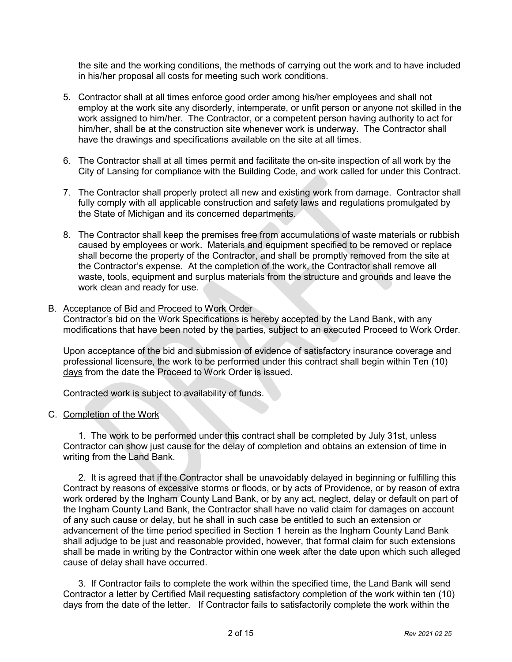the site and the working conditions, the methods of carrying out the work and to have included in his/her proposal all costs for meeting such work conditions.

- 5. Contractor shall at all times enforce good order among his/her employees and shall not employ at the work site any disorderly, intemperate, or unfit person or anyone not skilled in the work assigned to him/her. The Contractor, or a competent person having authority to act for him/her, shall be at the construction site whenever work is underway. The Contractor shall have the drawings and specifications available on the site at all times.
- 6. The Contractor shall at all times permit and facilitate the on-site inspection of all work by the City of Lansing for compliance with the Building Code, and work called for under this Contract.
- 7. The Contractor shall properly protect all new and existing work from damage. Contractor shall fully comply with all applicable construction and safety laws and regulations promulgated by the State of Michigan and its concerned departments.
- 8. The Contractor shall keep the premises free from accumulations of waste materials or rubbish caused by employees or work. Materials and equipment specified to be removed or replace shall become the property of the Contractor, and shall be promptly removed from the site at the Contractor's expense. At the completion of the work, the Contractor shall remove all waste, tools, equipment and surplus materials from the structure and grounds and leave the work clean and ready for use.

### B. Acceptance of Bid and Proceed to Work Order

Contractor's bid on the Work Specifications is hereby accepted by the Land Bank, with any modifications that have been noted by the parties, subject to an executed Proceed to Work Order.

Upon acceptance of the bid and submission of evidence of satisfactory insurance coverage and professional licensure, the work to be performed under this contract shall begin within Ten (10) days from the date the Proceed to Work Order is issued.

Contracted work is subject to availability of funds.

### C. Completion of the Work

1. The work to be performed under this contract shall be completed by July 31st, unless Contractor can show just cause for the delay of completion and obtains an extension of time in writing from the Land Bank.

2. It is agreed that if the Contractor shall be unavoidably delayed in beginning or fulfilling this Contract by reasons of excessive storms or floods, or by acts of Providence, or by reason of extra work ordered by the Ingham County Land Bank, or by any act, neglect, delay or default on part of the Ingham County Land Bank, the Contractor shall have no valid claim for damages on account of any such cause or delay, but he shall in such case be entitled to such an extension or advancement of the time period specified in Section 1 herein as the Ingham County Land Bank shall adjudge to be just and reasonable provided, however, that formal claim for such extensions shall be made in writing by the Contractor within one week after the date upon which such alleged cause of delay shall have occurred.

3. If Contractor fails to complete the work within the specified time, the Land Bank will send Contractor a letter by Certified Mail requesting satisfactory completion of the work within ten (10) days from the date of the letter. If Contractor fails to satisfactorily complete the work within the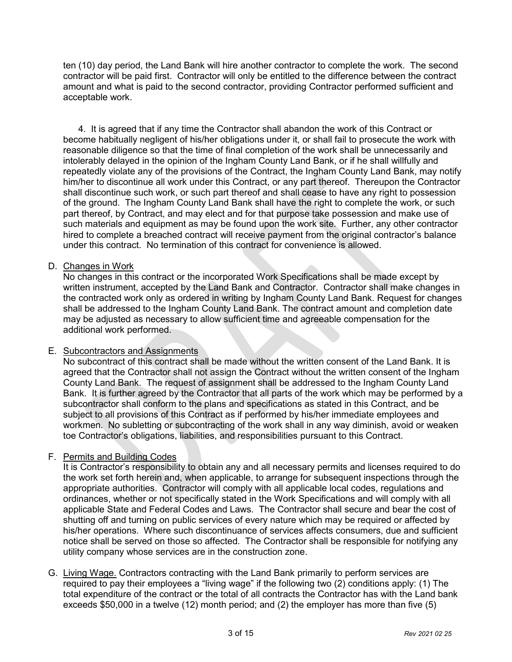ten (10) day period, the Land Bank will hire another contractor to complete the work. The second contractor will be paid first. Contractor will only be entitled to the difference between the contract amount and what is paid to the second contractor, providing Contractor performed sufficient and acceptable work.

4. It is agreed that if any time the Contractor shall abandon the work of this Contract or become habitually negligent of his/her obligations under it, or shall fail to prosecute the work with reasonable diligence so that the time of final completion of the work shall be unnecessarily and intolerably delayed in the opinion of the Ingham County Land Bank, or if he shall willfully and repeatedly violate any of the provisions of the Contract, the Ingham County Land Bank, may notify him/her to discontinue all work under this Contract, or any part thereof. Thereupon the Contractor shall discontinue such work, or such part thereof and shall cease to have any right to possession of the ground. The Ingham County Land Bank shall have the right to complete the work, or such part thereof, by Contract, and may elect and for that purpose take possession and make use of such materials and equipment as may be found upon the work site. Further, any other contractor hired to complete a breached contract will receive payment from the original contractor's balance under this contract. No termination of this contract for convenience is allowed.

# D. Changes in Work

No changes in this contract or the incorporated Work Specifications shall be made except by written instrument, accepted by the Land Bank and Contractor. Contractor shall make changes in the contracted work only as ordered in writing by Ingham County Land Bank. Request for changes shall be addressed to the Ingham County Land Bank. The contract amount and completion date may be adjusted as necessary to allow sufficient time and agreeable compensation for the additional work performed.

# E. Subcontractors and Assignments

No subcontract of this contract shall be made without the written consent of the Land Bank. It is agreed that the Contractor shall not assign the Contract without the written consent of the Ingham County Land Bank. The request of assignment shall be addressed to the Ingham County Land Bank. It is further agreed by the Contractor that all parts of the work which may be performed by a subcontractor shall conform to the plans and specifications as stated in this Contract, and be subject to all provisions of this Contract as if performed by his/her immediate employees and workmen. No subletting or subcontracting of the work shall in any way diminish, avoid or weaken toe Contractor's obligations, liabilities, and responsibilities pursuant to this Contract.

# F. Permits and Building Codes

It is Contractor's responsibility to obtain any and all necessary permits and licenses required to do the work set forth herein and, when applicable, to arrange for subsequent inspections through the appropriate authorities. Contractor will comply with all applicable local codes, regulations and ordinances, whether or not specifically stated in the Work Specifications and will comply with all applicable State and Federal Codes and Laws. The Contractor shall secure and bear the cost of shutting off and turning on public services of every nature which may be required or affected by his/her operations. Where such discontinuance of services affects consumers, due and sufficient notice shall be served on those so affected. The Contractor shall be responsible for notifying any utility company whose services are in the construction zone.

G. Living Wage. Contractors contracting with the Land Bank primarily to perform services are required to pay their employees a "living wage" if the following two (2) conditions apply: (1) The total expenditure of the contract or the total of all contracts the Contractor has with the Land bank exceeds \$50,000 in a twelve (12) month period; and (2) the employer has more than five (5)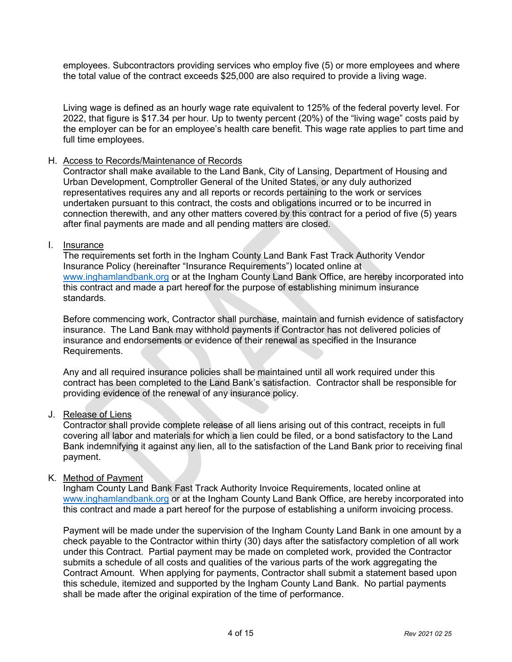employees. Subcontractors providing services who employ five (5) or more employees and where the total value of the contract exceeds \$25,000 are also required to provide a living wage.

Living wage is defined as an hourly wage rate equivalent to 125% of the federal poverty level. For 2022, that figure is \$17.34 per hour. Up to twenty percent (20%) of the "living wage" costs paid by the employer can be for an employee's health care benefit. This wage rate applies to part time and full time employees.

### H. Access to Records/Maintenance of Records

Contractor shall make available to the Land Bank, City of Lansing, Department of Housing and Urban Development, Comptroller General of the United States, or any duly authorized representatives requires any and all reports or records pertaining to the work or services undertaken pursuant to this contract, the costs and obligations incurred or to be incurred in connection therewith, and any other matters covered by this contract for a period of five (5) years after final payments are made and all pending matters are closed.

### I. Insurance

The requirements set forth in the Ingham County Land Bank Fast Track Authority Vendor Insurance Policy (hereinafter "Insurance Requirements") located online at [www.inghamlandbank.org](http://www.inghamlandbank.org/) or at the Ingham County Land Bank Office, are hereby incorporated into this contract and made a part hereof for the purpose of establishing minimum insurance standards.

Before commencing work, Contractor shall purchase, maintain and furnish evidence of satisfactory insurance. The Land Bank may withhold payments if Contractor has not delivered policies of insurance and endorsements or evidence of their renewal as specified in the Insurance Requirements.

Any and all required insurance policies shall be maintained until all work required under this contract has been completed to the Land Bank's satisfaction. Contractor shall be responsible for providing evidence of the renewal of any insurance policy.

# J. Release of Liens

Contractor shall provide complete release of all liens arising out of this contract, receipts in full covering all labor and materials for which a lien could be filed, or a bond satisfactory to the Land Bank indemnifying it against any lien, all to the satisfaction of the Land Bank prior to receiving final payment.

### K. Method of Payment

Ingham County Land Bank Fast Track Authority Invoice Requirements, located online at [www.inghamlandbank.org](http://www.inghamlandbank.org/) or at the Ingham County Land Bank Office, are hereby incorporated into this contract and made a part hereof for the purpose of establishing a uniform invoicing process.

Payment will be made under the supervision of the Ingham County Land Bank in one amount by a check payable to the Contractor within thirty (30) days after the satisfactory completion of all work under this Contract. Partial payment may be made on completed work, provided the Contractor submits a schedule of all costs and qualities of the various parts of the work aggregating the Contract Amount. When applying for payments, Contractor shall submit a statement based upon this schedule, itemized and supported by the Ingham County Land Bank. No partial payments shall be made after the original expiration of the time of performance.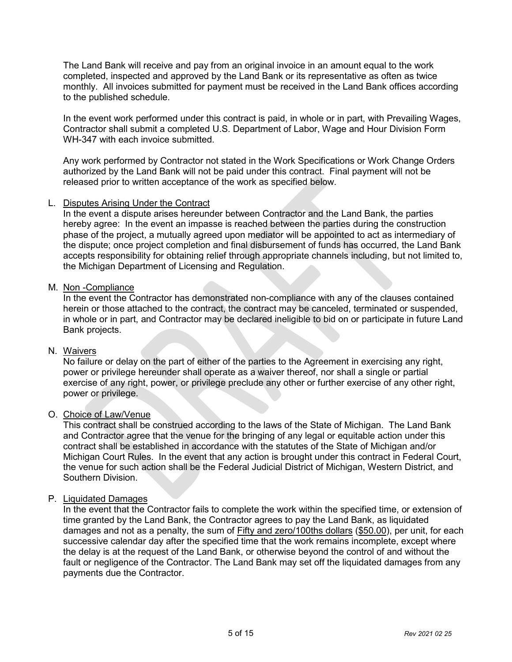The Land Bank will receive and pay from an original invoice in an amount equal to the work completed, inspected and approved by the Land Bank or its representative as often as twice monthly. All invoices submitted for payment must be received in the Land Bank offices according to the published schedule.

In the event work performed under this contract is paid, in whole or in part, with Prevailing Wages, Contractor shall submit a completed U.S. Department of Labor, Wage and Hour Division Form WH-347 with each invoice submitted.

Any work performed by Contractor not stated in the Work Specifications or Work Change Orders authorized by the Land Bank will not be paid under this contract. Final payment will not be released prior to written acceptance of the work as specified below.

## L. Disputes Arising Under the Contract

In the event a dispute arises hereunder between Contractor and the Land Bank, the parties hereby agree: In the event an impasse is reached between the parties during the construction phase of the project, a mutually agreed upon mediator will be appointed to act as intermediary of the dispute; once project completion and final disbursement of funds has occurred, the Land Bank accepts responsibility for obtaining relief through appropriate channels including, but not limited to, the Michigan Department of Licensing and Regulation.

## M. Non -Compliance

In the event the Contractor has demonstrated non-compliance with any of the clauses contained herein or those attached to the contract, the contract may be canceled, terminated or suspended, in whole or in part, and Contractor may be declared ineligible to bid on or participate in future Land Bank projects.

### N. Waivers

No failure or delay on the part of either of the parties to the Agreement in exercising any right, power or privilege hereunder shall operate as a waiver thereof, nor shall a single or partial exercise of any right, power, or privilege preclude any other or further exercise of any other right, power or privilege.

### O. Choice of Law/Venue

This contract shall be construed according to the laws of the State of Michigan. The Land Bank and Contractor agree that the venue for the bringing of any legal or equitable action under this contract shall be established in accordance with the statutes of the State of Michigan and/or Michigan Court Rules. In the event that any action is brought under this contract in Federal Court, the venue for such action shall be the Federal Judicial District of Michigan, Western District, and Southern Division.

### P. Liquidated Damages

In the event that the Contractor fails to complete the work within the specified time, or extension of time granted by the Land Bank, the Contractor agrees to pay the Land Bank, as liquidated damages and not as a penalty, the sum of Fifty and zero/100ths dollars (\$50.00), per unit, for each successive calendar day after the specified time that the work remains incomplete, except where the delay is at the request of the Land Bank, or otherwise beyond the control of and without the fault or negligence of the Contractor. The Land Bank may set off the liquidated damages from any payments due the Contractor.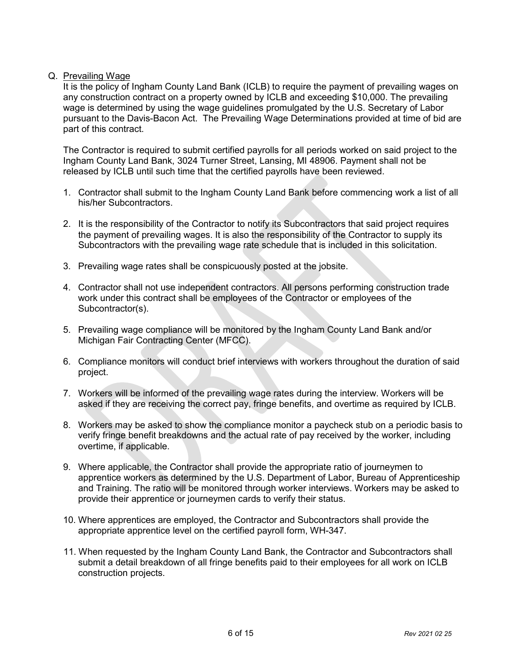# Q. Prevailing Wage

It is the policy of Ingham County Land Bank (ICLB) to require the payment of prevailing wages on any construction contract on a property owned by ICLB and exceeding \$10,000. The prevailing wage is determined by using the wage guidelines promulgated by the U.S. Secretary of Labor pursuant to the Davis-Bacon Act. The Prevailing Wage Determinations provided at time of bid are part of this contract.

The Contractor is required to submit certified payrolls for all periods worked on said project to the Ingham County Land Bank, 3024 Turner Street, Lansing, MI 48906. Payment shall not be released by ICLB until such time that the certified payrolls have been reviewed.

- 1. Contractor shall submit to the Ingham County Land Bank before commencing work a list of all his/her Subcontractors.
- 2. It is the responsibility of the Contractor to notify its Subcontractors that said project requires the payment of prevailing wages. It is also the responsibility of the Contractor to supply its Subcontractors with the prevailing wage rate schedule that is included in this solicitation.
- 3. Prevailing wage rates shall be conspicuously posted at the jobsite.
- 4. Contractor shall not use independent contractors. All persons performing construction trade work under this contract shall be employees of the Contractor or employees of the Subcontractor(s).
- 5. Prevailing wage compliance will be monitored by the Ingham County Land Bank and/or Michigan Fair Contracting Center (MFCC).
- 6. Compliance monitors will conduct brief interviews with workers throughout the duration of said project.
- 7. Workers will be informed of the prevailing wage rates during the interview. Workers will be asked if they are receiving the correct pay, fringe benefits, and overtime as required by ICLB.
- 8. Workers may be asked to show the compliance monitor a paycheck stub on a periodic basis to verify fringe benefit breakdowns and the actual rate of pay received by the worker, including overtime, if applicable.
- 9. Where applicable, the Contractor shall provide the appropriate ratio of journeymen to apprentice workers as determined by the U.S. Department of Labor, Bureau of Apprenticeship and Training. The ratio will be monitored through worker interviews. Workers may be asked to provide their apprentice or journeymen cards to verify their status.
- 10. Where apprentices are employed, the Contractor and Subcontractors shall provide the appropriate apprentice level on the certified payroll form, WH-347.
- 11. When requested by the Ingham County Land Bank, the Contractor and Subcontractors shall submit a detail breakdown of all fringe benefits paid to their employees for all work on ICLB construction projects.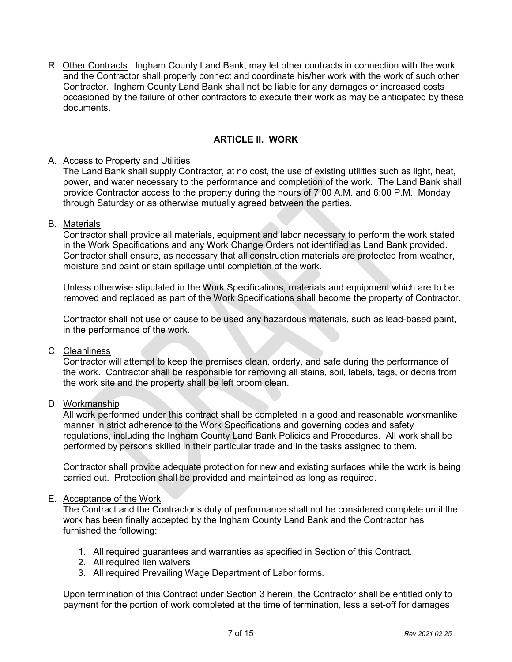R. Other Contracts. Ingham County Land Bank, may let other contracts in connection with the work and the Contractor shall properly connect and coordinate his/her work with the work of such other Contractor. Ingham County Land Bank shall not be liable for any damages or increased costs occasioned by the failure of other contractors to execute their work as may be anticipated by these documents.

# **ARTICLE II. WORK**

## A. Access to Property and Utilities

The Land Bank shall supply Contractor, at no cost, the use of existing utilities such as light, heat, power, and water necessary to the performance and completion of the work. The Land Bank shall provide Contractor access to the property during the hours of 7:00 A.M. and 6:00 P.M., Monday through Saturday or as otherwise mutually agreed between the parties.

## B. Materials

Contractor shall provide all materials, equipment and labor necessary to perform the work stated in the Work Specifications and any Work Change Orders not identified as Land Bank provided. Contractor shall ensure, as necessary that all construction materials are protected from weather, moisture and paint or stain spillage until completion of the work.

Unless otherwise stipulated in the Work Specifications, materials and equipment which are to be removed and replaced as part of the Work Specifications shall become the property of Contractor.

Contractor shall not use or cause to be used any hazardous materials, such as lead-based paint, in the performance of the work.

### C. Cleanliness

Contractor will attempt to keep the premises clean, orderly, and safe during the performance of the work. Contractor shall be responsible for removing all stains, soil, labels, tags, or debris from the work site and the property shall be left broom clean.

## D. Workmanship

All work performed under this contract shall be completed in a good and reasonable workmanlike manner in strict adherence to the Work Specifications and governing codes and safety regulations, including the Ingham County Land Bank Policies and Procedures. All work shall be performed by persons skilled in their particular trade and in the tasks assigned to them.

Contractor shall provide adequate protection for new and existing surfaces while the work is being carried out. Protection shall be provided and maintained as long as required.

### E. Acceptance of the Work

The Contract and the Contractor's duty of performance shall not be considered complete until the work has been finally accepted by the Ingham County Land Bank and the Contractor has furnished the following:

- 1. All required guarantees and warranties as specified in Section of this Contract.
- 2. All required lien waivers
- 3. All required Prevailing Wage Department of Labor forms.

Upon termination of this Contract under Section 3 herein, the Contractor shall be entitled only to payment for the portion of work completed at the time of termination, less a set-off for damages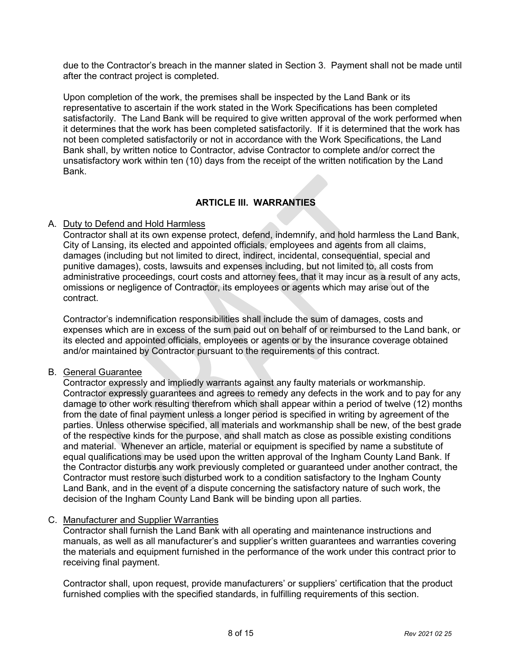due to the Contractor's breach in the manner slated in Section 3. Payment shall not be made until after the contract project is completed.

Upon completion of the work, the premises shall be inspected by the Land Bank or its representative to ascertain if the work stated in the Work Specifications has been completed satisfactorily. The Land Bank will be required to give written approval of the work performed when it determines that the work has been completed satisfactorily. If it is determined that the work has not been completed satisfactorily or not in accordance with the Work Specifications, the Land Bank shall, by written notice to Contractor, advise Contractor to complete and/or correct the unsatisfactory work within ten (10) days from the receipt of the written notification by the Land Bank.

# **ARTICLE III. WARRANTIES**

## A. Duty to Defend and Hold Harmless

Contractor shall at its own expense protect, defend, indemnify, and hold harmless the Land Bank, City of Lansing, its elected and appointed officials, employees and agents from all claims, damages (including but not limited to direct, indirect, incidental, consequential, special and punitive damages), costs, lawsuits and expenses including, but not limited to, all costs from administrative proceedings, court costs and attorney fees, that it may incur as a result of any acts, omissions or negligence of Contractor, its employees or agents which may arise out of the contract.

Contractor's indemnification responsibilities shall include the sum of damages, costs and expenses which are in excess of the sum paid out on behalf of or reimbursed to the Land bank, or its elected and appointed officials, employees or agents or by the insurance coverage obtained and/or maintained by Contractor pursuant to the requirements of this contract.

# B. General Guarantee

Contractor expressly and impliedly warrants against any faulty materials or workmanship. Contractor expressly guarantees and agrees to remedy any defects in the work and to pay for any damage to other work resulting therefrom which shall appear within a period of twelve (12) months from the date of final payment unless a longer period is specified in writing by agreement of the parties. Unless otherwise specified, all materials and workmanship shall be new, of the best grade of the respective kinds for the purpose, and shall match as close as possible existing conditions and material. Whenever an article, material or equipment is specified by name a substitute of equal qualifications may be used upon the written approval of the Ingham County Land Bank. If the Contractor disturbs any work previously completed or guaranteed under another contract, the Contractor must restore such disturbed work to a condition satisfactory to the Ingham County Land Bank, and in the event of a dispute concerning the satisfactory nature of such work, the decision of the Ingham County Land Bank will be binding upon all parties.

## C. Manufacturer and Supplier Warranties

Contractor shall furnish the Land Bank with all operating and maintenance instructions and manuals, as well as all manufacturer's and supplier's written guarantees and warranties covering the materials and equipment furnished in the performance of the work under this contract prior to receiving final payment.

Contractor shall, upon request, provide manufacturers' or suppliers' certification that the product furnished complies with the specified standards, in fulfilling requirements of this section.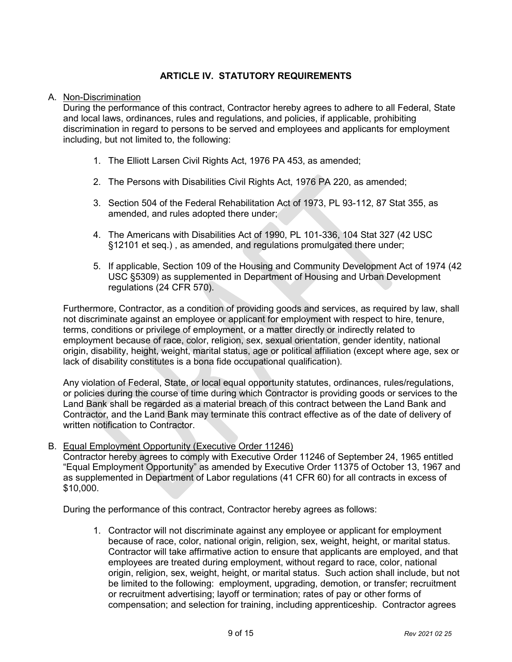# **ARTICLE IV. STATUTORY REQUIREMENTS**

### A. Non-Discrimination

During the performance of this contract, Contractor hereby agrees to adhere to all Federal, State and local laws, ordinances, rules and regulations, and policies, if applicable, prohibiting discrimination in regard to persons to be served and employees and applicants for employment including, but not limited to, the following:

- 1. The Elliott Larsen Civil Rights Act, 1976 PA 453, as amended;
- 2. The Persons with Disabilities Civil Rights Act, 1976 PA 220, as amended;
- 3. Section 504 of the Federal Rehabilitation Act of 1973, PL 93-112, 87 Stat 355, as amended, and rules adopted there under;
- 4. The Americans with Disabilities Act of 1990, PL 101-336, 104 Stat 327 (42 USC §12101 et seq.) , as amended, and regulations promulgated there under;
- 5. If applicable, Section 109 of the Housing and Community Development Act of 1974 (42 USC §5309) as supplemented in Department of Housing and Urban Development regulations (24 CFR 570).

Furthermore, Contractor, as a condition of providing goods and services, as required by law, shall not discriminate against an employee or applicant for employment with respect to hire, tenure, terms, conditions or privilege of employment, or a matter directly or indirectly related to employment because of race, color, religion, sex, sexual orientation, gender identity, national origin, disability, height, weight, marital status, age or political affiliation (except where age, sex or lack of disability constitutes is a bona fide occupational qualification).

Any violation of Federal, State, or local equal opportunity statutes, ordinances, rules/regulations, or policies during the course of time during which Contractor is providing goods or services to the Land Bank shall be regarded as a material breach of this contract between the Land Bank and Contractor, and the Land Bank may terminate this contract effective as of the date of delivery of written notification to Contractor.

B. Equal Employment Opportunity (Executive Order 11246)

Contractor hereby agrees to comply with Executive Order 11246 of September 24, 1965 entitled "Equal Employment Opportunity" as amended by Executive Order 11375 of October 13, 1967 and as supplemented in Department of Labor regulations (41 CFR 60) for all contracts in excess of \$10,000.

During the performance of this contract, Contractor hereby agrees as follows:

1. Contractor will not discriminate against any employee or applicant for employment because of race, color, national origin, religion, sex, weight, height, or marital status. Contractor will take affirmative action to ensure that applicants are employed, and that employees are treated during employment, without regard to race, color, national origin, religion, sex, weight, height, or marital status. Such action shall include, but not be limited to the following: employment, upgrading, demotion, or transfer; recruitment or recruitment advertising; layoff or termination; rates of pay or other forms of compensation; and selection for training, including apprenticeship. Contractor agrees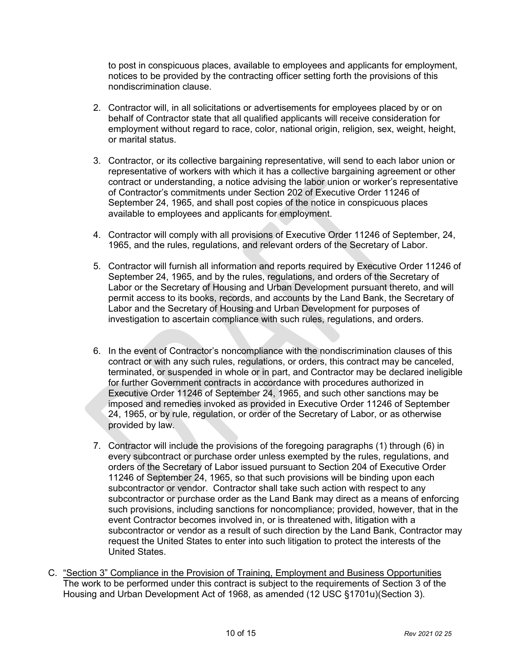to post in conspicuous places, available to employees and applicants for employment, notices to be provided by the contracting officer setting forth the provisions of this nondiscrimination clause.

- 2. Contractor will, in all solicitations or advertisements for employees placed by or on behalf of Contractor state that all qualified applicants will receive consideration for employment without regard to race, color, national origin, religion, sex, weight, height, or marital status.
- 3. Contractor, or its collective bargaining representative, will send to each labor union or representative of workers with which it has a collective bargaining agreement or other contract or understanding, a notice advising the labor union or worker's representative of Contractor's commitments under Section 202 of Executive Order 11246 of September 24, 1965, and shall post copies of the notice in conspicuous places available to employees and applicants for employment.
- 4. Contractor will comply with all provisions of Executive Order 11246 of September, 24, 1965, and the rules, regulations, and relevant orders of the Secretary of Labor.
- 5. Contractor will furnish all information and reports required by Executive Order 11246 of September 24, 1965, and by the rules, regulations, and orders of the Secretary of Labor or the Secretary of Housing and Urban Development pursuant thereto, and will permit access to its books, records, and accounts by the Land Bank, the Secretary of Labor and the Secretary of Housing and Urban Development for purposes of investigation to ascertain compliance with such rules, regulations, and orders.
- 6. In the event of Contractor's noncompliance with the nondiscrimination clauses of this contract or with any such rules, regulations, or orders, this contract may be canceled, terminated, or suspended in whole or in part, and Contractor may be declared ineligible for further Government contracts in accordance with procedures authorized in Executive Order 11246 of September 24, 1965, and such other sanctions may be imposed and remedies invoked as provided in Executive Order 11246 of September 24, 1965, or by rule, regulation, or order of the Secretary of Labor, or as otherwise provided by law.
- 7. Contractor will include the provisions of the foregoing paragraphs (1) through (6) in every subcontract or purchase order unless exempted by the rules, regulations, and orders of the Secretary of Labor issued pursuant to Section 204 of Executive Order 11246 of September 24, 1965, so that such provisions will be binding upon each subcontractor or vendor. Contractor shall take such action with respect to any subcontractor or purchase order as the Land Bank may direct as a means of enforcing such provisions, including sanctions for noncompliance; provided, however, that in the event Contractor becomes involved in, or is threatened with, litigation with a subcontractor or vendor as a result of such direction by the Land Bank, Contractor may request the United States to enter into such litigation to protect the interests of the United States.
- C. "Section 3" Compliance in the Provision of Training, Employment and Business Opportunities The work to be performed under this contract is subject to the requirements of Section 3 of the Housing and Urban Development Act of 1968, as amended (12 USC §1701u)(Section 3).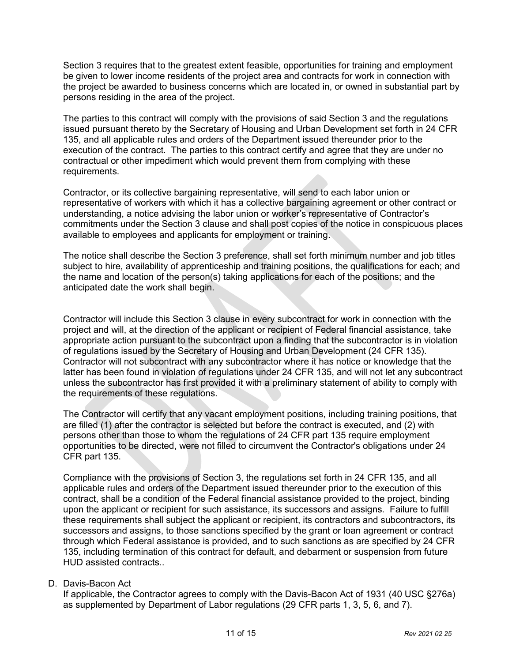Section 3 requires that to the greatest extent feasible, opportunities for training and employment be given to lower income residents of the project area and contracts for work in connection with the project be awarded to business concerns which are located in, or owned in substantial part by persons residing in the area of the project.

The parties to this contract will comply with the provisions of said Section 3 and the regulations issued pursuant thereto by the Secretary of Housing and Urban Development set forth in 24 CFR 135, and all applicable rules and orders of the Department issued thereunder prior to the execution of the contract. The parties to this contract certify and agree that they are under no contractual or other impediment which would prevent them from complying with these requirements.

Contractor, or its collective bargaining representative, will send to each labor union or representative of workers with which it has a collective bargaining agreement or other contract or understanding, a notice advising the labor union or worker's representative of Contractor's commitments under the Section 3 clause and shall post copies of the notice in conspicuous places available to employees and applicants for employment or training.

The notice shall describe the Section 3 preference, shall set forth minimum number and job titles subject to hire, availability of apprenticeship and training positions, the qualifications for each; and the name and location of the person(s) taking applications for each of the positions; and the anticipated date the work shall begin.

Contractor will include this Section 3 clause in every subcontract for work in connection with the project and will, at the direction of the applicant or recipient of Federal financial assistance, take appropriate action pursuant to the subcontract upon a finding that the subcontractor is in violation of regulations issued by the Secretary of Housing and Urban Development (24 CFR 135). Contractor will not subcontract with any subcontractor where it has notice or knowledge that the latter has been found in violation of regulations under 24 CFR 135, and will not let any subcontract unless the subcontractor has first provided it with a preliminary statement of ability to comply with the requirements of these regulations.

The Contractor will certify that any vacant employment positions, including training positions, that are filled (1) after the contractor is selected but before the contract is executed, and (2) with persons other than those to whom the regulations of 24 CFR part 135 require employment opportunities to be directed, were not filled to circumvent the Contractor's obligations under 24 CFR part 135.

Compliance with the provisions of Section 3, the regulations set forth in 24 CFR 135, and all applicable rules and orders of the Department issued thereunder prior to the execution of this contract, shall be a condition of the Federal financial assistance provided to the project, binding upon the applicant or recipient for such assistance, its successors and assigns. Failure to fulfill these requirements shall subject the applicant or recipient, its contractors and subcontractors, its successors and assigns, to those sanctions specified by the grant or loan agreement or contract through which Federal assistance is provided, and to such sanctions as are specified by 24 CFR 135, including termination of this contract for default, and debarment or suspension from future HUD assisted contracts..

# D. Davis-Bacon Act

If applicable, the Contractor agrees to comply with the Davis-Bacon Act of 1931 (40 USC §276a) as supplemented by Department of Labor regulations (29 CFR parts 1, 3, 5, 6, and 7).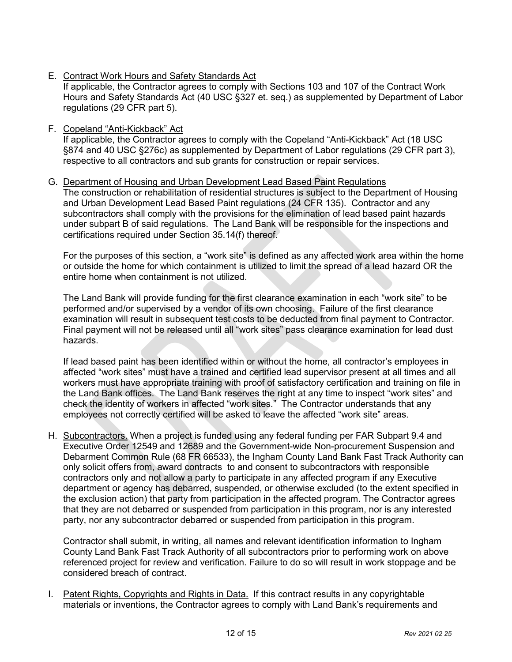E. Contract Work Hours and Safety Standards Act

If applicable, the Contractor agrees to comply with Sections 103 and 107 of the Contract Work Hours and Safety Standards Act (40 USC §327 et. seq.) as supplemented by Department of Labor regulations (29 CFR part 5).

F. Copeland "Anti-Kickback" Act

If applicable, the Contractor agrees to comply with the Copeland "Anti-Kickback" Act (18 USC §874 and 40 USC §276c) as supplemented by Department of Labor regulations (29 CFR part 3), respective to all contractors and sub grants for construction or repair services.

## G. Department of Housing and Urban Development Lead Based Paint Regulations

The construction or rehabilitation of residential structures is subject to the Department of Housing and Urban Development Lead Based Paint regulations (24 CFR 135). Contractor and any subcontractors shall comply with the provisions for the elimination of lead based paint hazards under subpart B of said regulations. The Land Bank will be responsible for the inspections and certifications required under Section 35.14(f) thereof.

For the purposes of this section, a "work site" is defined as any affected work area within the home or outside the home for which containment is utilized to limit the spread of a lead hazard OR the entire home when containment is not utilized.

The Land Bank will provide funding for the first clearance examination in each "work site" to be performed and/or supervised by a vendor of its own choosing. Failure of the first clearance examination will result in subsequent test costs to be deducted from final payment to Contractor. Final payment will not be released until all "work sites" pass clearance examination for lead dust hazards.

If lead based paint has been identified within or without the home, all contractor's employees in affected "work sites" must have a trained and certified lead supervisor present at all times and all workers must have appropriate training with proof of satisfactory certification and training on file in the Land Bank offices. The Land Bank reserves the right at any time to inspect "work sites" and check the identity of workers in affected "work sites." The Contractor understands that any employees not correctly certified will be asked to leave the affected "work site" areas.

H. Subcontractors. When a project is funded using any federal funding per FAR Subpart 9.4 and Executive Order 12549 and 12689 and the Government-wide Non-procurement Suspension and Debarment Common Rule (68 FR 66533), the Ingham County Land Bank Fast Track Authority can only solicit offers from, award contracts to and consent to subcontractors with responsible contractors only and not allow a party to participate in any affected program if any Executive department or agency has debarred, suspended, or otherwise excluded (to the extent specified in the exclusion action) that party from participation in the affected program. The Contractor agrees that they are not debarred or suspended from participation in this program, nor is any interested party, nor any subcontractor debarred or suspended from participation in this program.

Contractor shall submit, in writing, all names and relevant identification information to Ingham County Land Bank Fast Track Authority of all subcontractors prior to performing work on above referenced project for review and verification. Failure to do so will result in work stoppage and be considered breach of contract.

I. Patent Rights, Copyrights and Rights in Data. If this contract results in any copyrightable materials or inventions, the Contractor agrees to comply with Land Bank's requirements and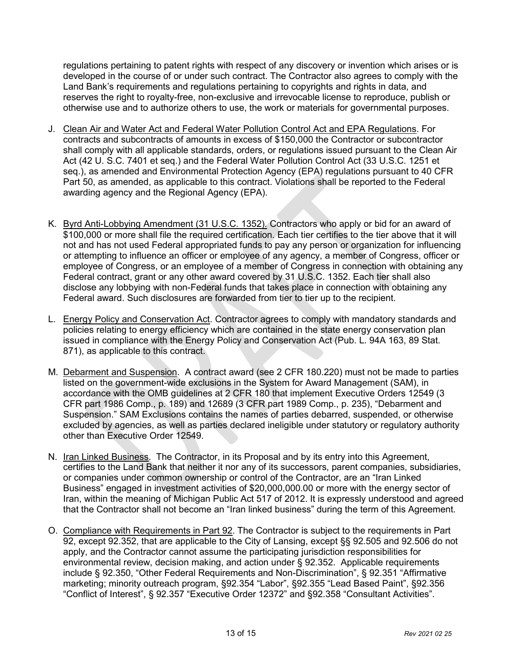regulations pertaining to patent rights with respect of any discovery or invention which arises or is developed in the course of or under such contract. The Contractor also agrees to comply with the Land Bank's requirements and regulations pertaining to copyrights and rights in data, and reserves the right to royalty-free, non-exclusive and irrevocable license to reproduce, publish or otherwise use and to authorize others to use, the work or materials for governmental purposes.

- J. Clean Air and Water Act and Federal Water Pollution Control Act and EPA Regulations. For contracts and subcontracts of amounts in excess of \$150,000 the Contractor or subcontractor shall comply with all applicable standards, orders, or regulations issued pursuant to the Clean Air Act (42 U. S.C. 7401 et seq.) and the Federal Water Pollution Control Act (33 U.S.C. 1251 et seq.), as amended and Environmental Protection Agency (EPA) regulations pursuant to 40 CFR Part 50, as amended, as applicable to this contract. Violations shall be reported to the Federal awarding agency and the Regional Agency (EPA).
- K. Byrd Anti-Lobbying Amendment (31 U.S.C. 1352). Contractors who apply or bid for an award of \$100,000 or more shall file the required certification. Each tier certifies to the tier above that it will not and has not used Federal appropriated funds to pay any person or organization for influencing or attempting to influence an officer or employee of any agency, a member of Congress, officer or employee of Congress, or an employee of a member of Congress in connection with obtaining any Federal contract, grant or any other award covered by 31 U.S.C. 1352. Each tier shall also disclose any lobbying with non-Federal funds that takes place in connection with obtaining any Federal award. Such disclosures are forwarded from tier to tier up to the recipient.
- L. Energy Policy and Conservation Act. Contractor agrees to comply with mandatory standards and policies relating to energy efficiency which are contained in the state energy conservation plan issued in compliance with the Energy Policy and Conservation Act (Pub. L. 94A 163, 89 Stat. 871), as applicable to this contract.
- M. Debarment and Suspension. A contract award (see 2 CFR 180.220) must not be made to parties listed on the government-wide exclusions in the System for Award Management (SAM), in accordance with the OMB guidelines at 2 CFR 180 that implement Executive Orders 12549 (3 CFR part 1986 Comp., p. 189) and 12689 (3 CFR part 1989 Comp., p. 235), "Debarment and Suspension." SAM Exclusions contains the names of parties debarred, suspended, or otherwise excluded by agencies, as well as parties declared ineligible under statutory or regulatory authority other than Executive Order 12549.
- N. Iran Linked Business. The Contractor, in its Proposal and by its entry into this Agreement, certifies to the Land Bank that neither it nor any of its successors, parent companies, subsidiaries, or companies under common ownership or control of the Contractor, are an "Iran Linked Business" engaged in investment activities of \$20,000,000.00 or more with the energy sector of Iran, within the meaning of Michigan Public Act 517 of 2012. It is expressly understood and agreed that the Contractor shall not become an "Iran linked business" during the term of this Agreement.
- O. Compliance with Requirements in Part 92. The Contractor is subject to the requirements in Part 92, except 92.352, that are applicable to the City of Lansing, except §§ 92.505 and 92.506 do not apply, and the Contractor cannot assume the participating jurisdiction responsibilities for environmental review, decision making, and action under § 92.352. Applicable requirements include § 92.350, "Other Federal Requirements and Non-Discrimination", § 92.351 "Affirmative marketing; minority outreach program, §92.354 "Labor", §92.355 "Lead Based Paint", §92.356 "Conflict of Interest", § 92.357 "Executive Order 12372" and §92.358 "Consultant Activities".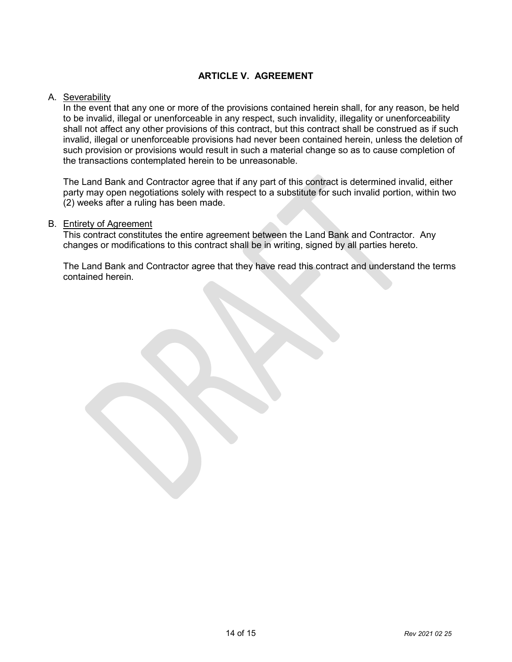# **ARTICLE V. AGREEMENT**

## A. Severability

In the event that any one or more of the provisions contained herein shall, for any reason, be held to be invalid, illegal or unenforceable in any respect, such invalidity, illegality or unenforceability shall not affect any other provisions of this contract, but this contract shall be construed as if such invalid, illegal or unenforceable provisions had never been contained herein, unless the deletion of such provision or provisions would result in such a material change so as to cause completion of the transactions contemplated herein to be unreasonable.

The Land Bank and Contractor agree that if any part of this contract is determined invalid, either party may open negotiations solely with respect to a substitute for such invalid portion, within two (2) weeks after a ruling has been made.

### B. Entirety of Agreement

This contract constitutes the entire agreement between the Land Bank and Contractor. Any changes or modifications to this contract shall be in writing, signed by all parties hereto.

The Land Bank and Contractor agree that they have read this contract and understand the terms contained herein.